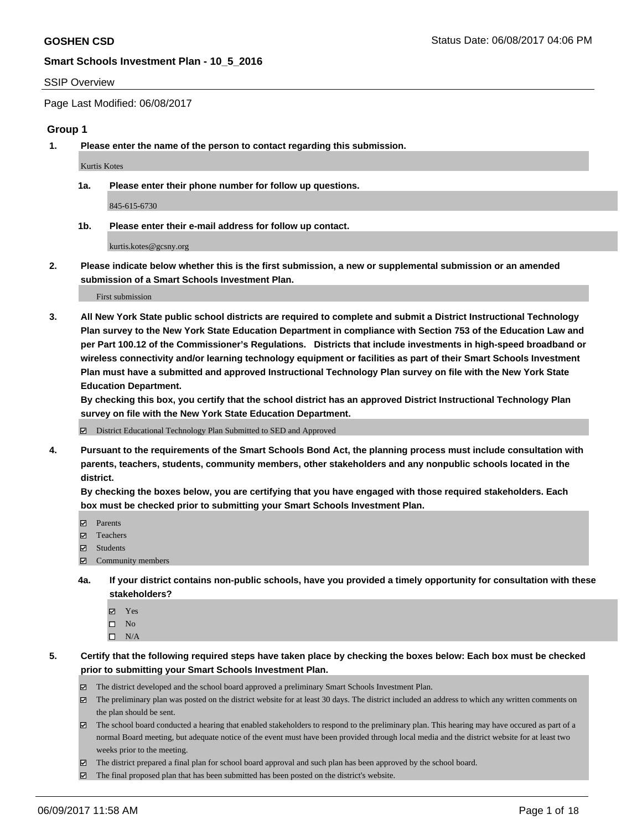#### SSIP Overview

Page Last Modified: 06/08/2017

#### **Group 1**

**1. Please enter the name of the person to contact regarding this submission.**

Kurtis Kotes

**1a. Please enter their phone number for follow up questions.**

845-615-6730

**1b. Please enter their e-mail address for follow up contact.**

kurtis.kotes@gcsny.org

**2. Please indicate below whether this is the first submission, a new or supplemental submission or an amended submission of a Smart Schools Investment Plan.**

First submission

**3. All New York State public school districts are required to complete and submit a District Instructional Technology Plan survey to the New York State Education Department in compliance with Section 753 of the Education Law and per Part 100.12 of the Commissioner's Regulations. Districts that include investments in high-speed broadband or wireless connectivity and/or learning technology equipment or facilities as part of their Smart Schools Investment Plan must have a submitted and approved Instructional Technology Plan survey on file with the New York State Education Department.** 

**By checking this box, you certify that the school district has an approved District Instructional Technology Plan survey on file with the New York State Education Department.**

District Educational Technology Plan Submitted to SED and Approved

**4. Pursuant to the requirements of the Smart Schools Bond Act, the planning process must include consultation with parents, teachers, students, community members, other stakeholders and any nonpublic schools located in the district.** 

**By checking the boxes below, you are certifying that you have engaged with those required stakeholders. Each box must be checked prior to submitting your Smart Schools Investment Plan.**

- **マ** Parents
- □ Teachers
- Students
- $\Xi$  Community members
- **4a. If your district contains non-public schools, have you provided a timely opportunity for consultation with these stakeholders?**
	- Yes
	- $\hfill \square$  No
	- $\square$  N/A
- **5. Certify that the following required steps have taken place by checking the boxes below: Each box must be checked prior to submitting your Smart Schools Investment Plan.**
	- The district developed and the school board approved a preliminary Smart Schools Investment Plan.
	- $\boxtimes$  The preliminary plan was posted on the district website for at least 30 days. The district included an address to which any written comments on the plan should be sent.
	- $\boxtimes$  The school board conducted a hearing that enabled stakeholders to respond to the preliminary plan. This hearing may have occured as part of a normal Board meeting, but adequate notice of the event must have been provided through local media and the district website for at least two weeks prior to the meeting.
	- The district prepared a final plan for school board approval and such plan has been approved by the school board.
	- $\boxtimes$  The final proposed plan that has been submitted has been posted on the district's website.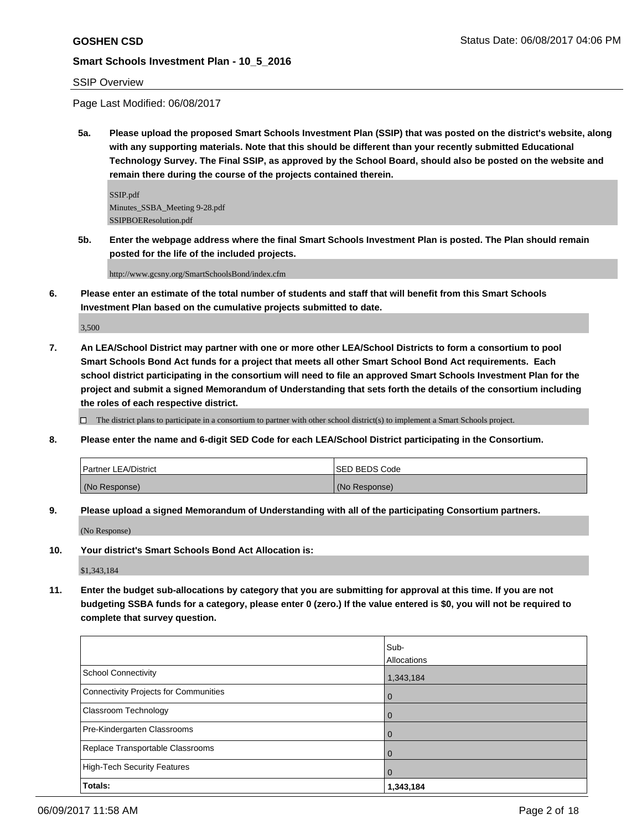## SSIP Overview

Page Last Modified: 06/08/2017

**5a. Please upload the proposed Smart Schools Investment Plan (SSIP) that was posted on the district's website, along with any supporting materials. Note that this should be different than your recently submitted Educational Technology Survey. The Final SSIP, as approved by the School Board, should also be posted on the website and remain there during the course of the projects contained therein.**

SSIP.pdf Minutes\_SSBA\_Meeting 9-28.pdf SSIPBOEResolution.pdf

**5b. Enter the webpage address where the final Smart Schools Investment Plan is posted. The Plan should remain posted for the life of the included projects.**

http://www.gcsny.org/SmartSchoolsBond/index.cfm

**6. Please enter an estimate of the total number of students and staff that will benefit from this Smart Schools Investment Plan based on the cumulative projects submitted to date.**

3,500

**7. An LEA/School District may partner with one or more other LEA/School Districts to form a consortium to pool Smart Schools Bond Act funds for a project that meets all other Smart School Bond Act requirements. Each school district participating in the consortium will need to file an approved Smart Schools Investment Plan for the project and submit a signed Memorandum of Understanding that sets forth the details of the consortium including the roles of each respective district.**

 $\Box$  The district plans to participate in a consortium to partner with other school district(s) to implement a Smart Schools project.

**8. Please enter the name and 6-digit SED Code for each LEA/School District participating in the Consortium.**

| <b>Partner LEA/District</b> | ISED BEDS Code |
|-----------------------------|----------------|
| (No Response)               | (No Response)  |

**9. Please upload a signed Memorandum of Understanding with all of the participating Consortium partners.**

(No Response)

**10. Your district's Smart Schools Bond Act Allocation is:**

\$1,343,184

**11. Enter the budget sub-allocations by category that you are submitting for approval at this time. If you are not budgeting SSBA funds for a category, please enter 0 (zero.) If the value entered is \$0, you will not be required to complete that survey question.**

|                                       | Sub-        |
|---------------------------------------|-------------|
|                                       | Allocations |
| <b>School Connectivity</b>            | 1,343,184   |
| Connectivity Projects for Communities | O           |
| <b>Classroom Technology</b>           |             |
| Pre-Kindergarten Classrooms           |             |
| Replace Transportable Classrooms      |             |
| <b>High-Tech Security Features</b>    | 0           |
| Totals:                               | 1,343,184   |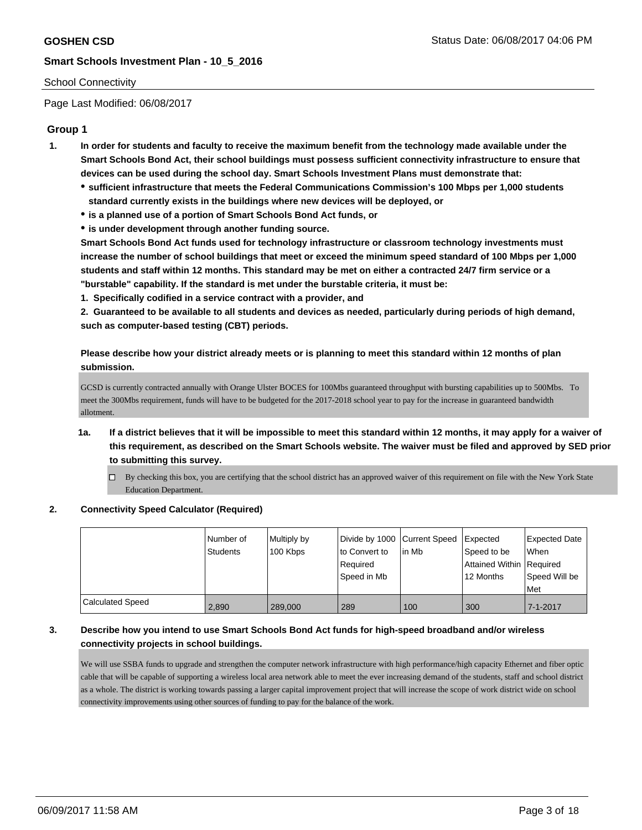### School Connectivity

Page Last Modified: 06/08/2017

## **Group 1**

- **1. In order for students and faculty to receive the maximum benefit from the technology made available under the Smart Schools Bond Act, their school buildings must possess sufficient connectivity infrastructure to ensure that devices can be used during the school day. Smart Schools Investment Plans must demonstrate that:**
	- **sufficient infrastructure that meets the Federal Communications Commission's 100 Mbps per 1,000 students standard currently exists in the buildings where new devices will be deployed, or**
	- **is a planned use of a portion of Smart Schools Bond Act funds, or**
	- **is under development through another funding source.**

**Smart Schools Bond Act funds used for technology infrastructure or classroom technology investments must increase the number of school buildings that meet or exceed the minimum speed standard of 100 Mbps per 1,000 students and staff within 12 months. This standard may be met on either a contracted 24/7 firm service or a "burstable" capability. If the standard is met under the burstable criteria, it must be:**

**1. Specifically codified in a service contract with a provider, and**

**2. Guaranteed to be available to all students and devices as needed, particularly during periods of high demand, such as computer-based testing (CBT) periods.**

**Please describe how your district already meets or is planning to meet this standard within 12 months of plan submission.**

GCSD is currently contracted annually with Orange Ulster BOCES for 100Mbs guaranteed throughput with bursting capabilities up to 500Mbs. To meet the 300Mbs requirement, funds will have to be budgeted for the 2017-2018 school year to pay for the increase in guaranteed bandwidth allotment.

- **1a. If a district believes that it will be impossible to meet this standard within 12 months, it may apply for a waiver of this requirement, as described on the Smart Schools website. The waiver must be filed and approved by SED prior to submitting this survey.**
	- By checking this box, you are certifying that the school district has an approved waiver of this requirement on file with the New York State Education Department.

#### **2. Connectivity Speed Calculator (Required)**

|                  | l Number of<br>Students | Multiply by<br>100 Kbps | Divide by 1000 Current Speed<br>to Convert to<br>Required<br>l Speed in Mb | lin Mb | <b>Expected</b><br>Speed to be<br>Attained Within   Required<br>12 Months | <b>Expected Date</b><br><b>When</b><br>Speed Will be<br>Met |
|------------------|-------------------------|-------------------------|----------------------------------------------------------------------------|--------|---------------------------------------------------------------------------|-------------------------------------------------------------|
| Calculated Speed | 2,890                   | 289,000                 | 289                                                                        | 100    | 300                                                                       | $7 - 1 - 2017$                                              |

## **3. Describe how you intend to use Smart Schools Bond Act funds for high-speed broadband and/or wireless connectivity projects in school buildings.**

We will use SSBA funds to upgrade and strengthen the computer network infrastructure with high performance/high capacity Ethernet and fiber optic cable that will be capable of supporting a wireless local area network able to meet the ever increasing demand of the students, staff and school district as a whole. The district is working towards passing a larger capital improvement project that will increase the scope of work district wide on school connectivity improvements using other sources of funding to pay for the balance of the work.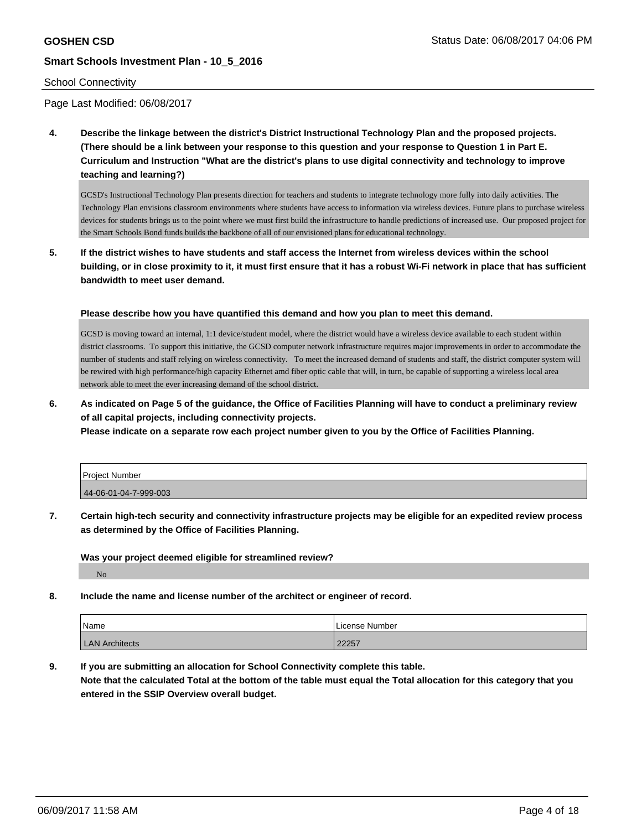#### School Connectivity

Page Last Modified: 06/08/2017

**4. Describe the linkage between the district's District Instructional Technology Plan and the proposed projects. (There should be a link between your response to this question and your response to Question 1 in Part E. Curriculum and Instruction "What are the district's plans to use digital connectivity and technology to improve teaching and learning?)**

GCSD's Instructional Technology Plan presents direction for teachers and students to integrate technology more fully into daily activities. The Technology Plan envisions classroom environments where students have access to information via wireless devices. Future plans to purchase wireless devices for students brings us to the point where we must first build the infrastructure to handle predictions of increased use. Our proposed project for the Smart Schools Bond funds builds the backbone of all of our envisioned plans for educational technology.

**5. If the district wishes to have students and staff access the Internet from wireless devices within the school building, or in close proximity to it, it must first ensure that it has a robust Wi-Fi network in place that has sufficient bandwidth to meet user demand.**

**Please describe how you have quantified this demand and how you plan to meet this demand.**

GCSD is moving toward an internal, 1:1 device/student model, where the district would have a wireless device available to each student within district classrooms. To support this initiative, the GCSD computer network infrastructure requires major improvements in order to accommodate the number of students and staff relying on wireless connectivity. To meet the increased demand of students and staff, the district computer system will be rewired with high performance/high capacity Ethernet amd fiber optic cable that will, in turn, be capable of supporting a wireless local area network able to meet the ever increasing demand of the school district.

**6. As indicated on Page 5 of the guidance, the Office of Facilities Planning will have to conduct a preliminary review of all capital projects, including connectivity projects.**

**Please indicate on a separate row each project number given to you by the Office of Facilities Planning.**

| Project Number        |  |
|-----------------------|--|
| 44-06-01-04-7-999-003 |  |

**7. Certain high-tech security and connectivity infrastructure projects may be eligible for an expedited review process as determined by the Office of Facilities Planning.**

**Was your project deemed eligible for streamlined review?**

No

**8. Include the name and license number of the architect or engineer of record.**

| Name                  | License Number |
|-----------------------|----------------|
| <b>LAN Architects</b> | 22257          |

**9. If you are submitting an allocation for School Connectivity complete this table. Note that the calculated Total at the bottom of the table must equal the Total allocation for this category that you entered in the SSIP Overview overall budget.**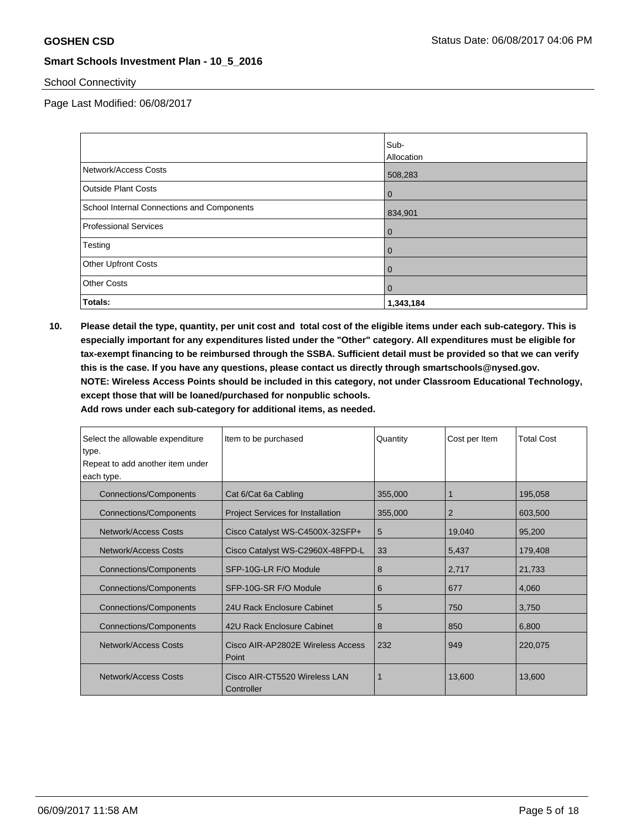## School Connectivity

Page Last Modified: 06/08/2017

|                                            | Sub-           |
|--------------------------------------------|----------------|
|                                            | Allocation     |
| Network/Access Costs                       | 508,283        |
| <b>Outside Plant Costs</b>                 | $\mathbf{0}$   |
| School Internal Connections and Components | 834,901        |
| <b>Professional Services</b>               | $\mathbf{0}$   |
| Testing                                    | $\mathbf{0}$   |
| <b>Other Upfront Costs</b>                 | $\mathbf{0}$   |
| <b>Other Costs</b>                         | $\overline{0}$ |
| Totals:                                    | 1,343,184      |

**10. Please detail the type, quantity, per unit cost and total cost of the eligible items under each sub-category. This is especially important for any expenditures listed under the "Other" category. All expenditures must be eligible for tax-exempt financing to be reimbursed through the SSBA. Sufficient detail must be provided so that we can verify this is the case. If you have any questions, please contact us directly through smartschools@nysed.gov. NOTE: Wireless Access Points should be included in this category, not under Classroom Educational Technology, except those that will be loaned/purchased for nonpublic schools.**

| Select the allowable expenditure<br>type. | Item to be purchased                        | Quantity | Cost per Item  | <b>Total Cost</b> |
|-------------------------------------------|---------------------------------------------|----------|----------------|-------------------|
| Repeat to add another item under          |                                             |          |                |                   |
| each type.                                |                                             |          |                |                   |
| <b>Connections/Components</b>             | Cat 6/Cat 6a Cabling                        | 355,000  |                | 195,058           |
| <b>Connections/Components</b>             | <b>Project Services for Installation</b>    | 355,000  | $\overline{2}$ | 603,500           |
| Network/Access Costs                      | Cisco Catalyst WS-C4500X-32SFP+             | 5        | 19,040         | 95,200            |
| Network/Access Costs                      | Cisco Catalyst WS-C2960X-48FPD-L            | 33       | 5,437          | 179,408           |
| <b>Connections/Components</b>             | SFP-10G-LR F/O Module                       | 8        | 2,717          | 21,733            |
| <b>Connections/Components</b>             | SFP-10G-SR F/O Module                       | 6        | 677            | 4,060             |
| <b>Connections/Components</b>             | 24U Rack Enclosure Cabinet                  | 5        | 750            | 3,750             |
| <b>Connections/Components</b>             | 42U Rack Enclosure Cabinet                  | 8        | 850            | 6,800             |
| Network/Access Costs                      | Cisco AIR-AP2802E Wireless Access<br>Point  | 232      | 949            | 220,075           |
| <b>Network/Access Costs</b>               | Cisco AIR-CT5520 Wireless LAN<br>Controller | 1        | 13,600         | 13,600            |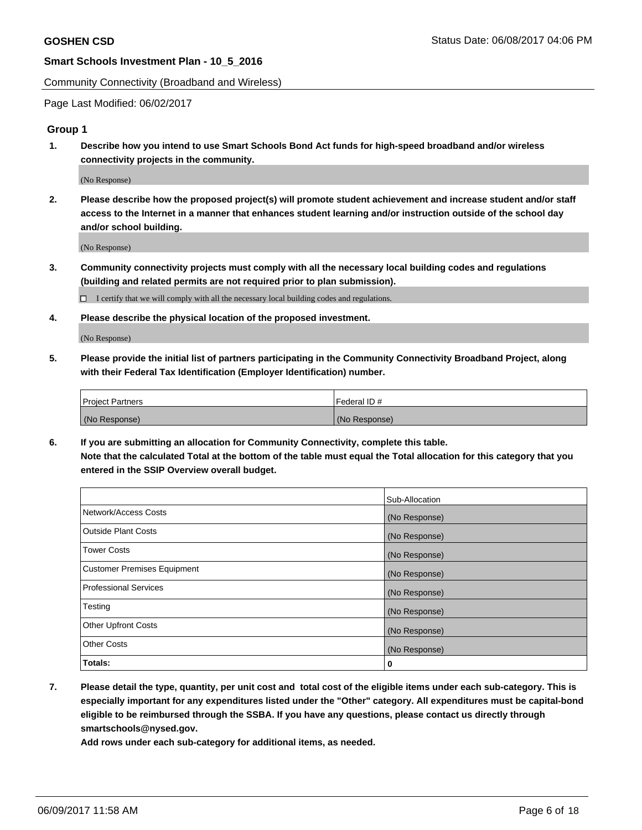Community Connectivity (Broadband and Wireless)

Page Last Modified: 06/02/2017

### **Group 1**

**1. Describe how you intend to use Smart Schools Bond Act funds for high-speed broadband and/or wireless connectivity projects in the community.**

(No Response)

**2. Please describe how the proposed project(s) will promote student achievement and increase student and/or staff access to the Internet in a manner that enhances student learning and/or instruction outside of the school day and/or school building.**

(No Response)

**3. Community connectivity projects must comply with all the necessary local building codes and regulations (building and related permits are not required prior to plan submission).**

 $\Box$  I certify that we will comply with all the necessary local building codes and regulations.

**4. Please describe the physical location of the proposed investment.**

(No Response)

**5. Please provide the initial list of partners participating in the Community Connectivity Broadband Project, along with their Federal Tax Identification (Employer Identification) number.**

| <b>Project Partners</b> | Federal ID#     |
|-------------------------|-----------------|
| (No Response)           | l (No Response) |

**6. If you are submitting an allocation for Community Connectivity, complete this table. Note that the calculated Total at the bottom of the table must equal the Total allocation for this category that you entered in the SSIP Overview overall budget.**

|                                    | Sub-Allocation |
|------------------------------------|----------------|
| Network/Access Costs               | (No Response)  |
| Outside Plant Costs                | (No Response)  |
| <b>Tower Costs</b>                 | (No Response)  |
| <b>Customer Premises Equipment</b> | (No Response)  |
| <b>Professional Services</b>       | (No Response)  |
| Testing                            | (No Response)  |
| <b>Other Upfront Costs</b>         | (No Response)  |
| <b>Other Costs</b>                 | (No Response)  |
| Totals:                            | 0              |

**7. Please detail the type, quantity, per unit cost and total cost of the eligible items under each sub-category. This is especially important for any expenditures listed under the "Other" category. All expenditures must be capital-bond eligible to be reimbursed through the SSBA. If you have any questions, please contact us directly through smartschools@nysed.gov.**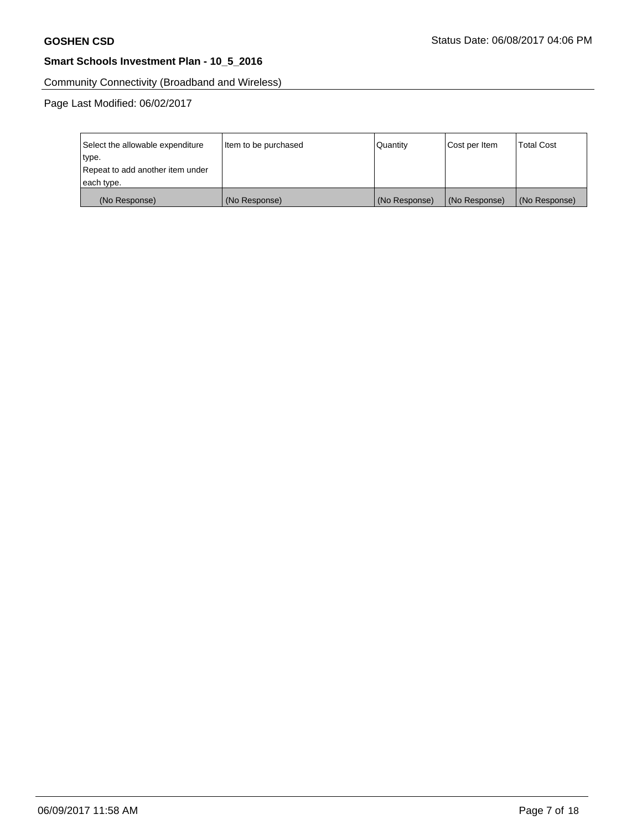Community Connectivity (Broadband and Wireless)

Page Last Modified: 06/02/2017

| Select the allowable expenditure | Item to be purchased | <b>Quantity</b> | Cost per Item | <b>Total Cost</b> |
|----------------------------------|----------------------|-----------------|---------------|-------------------|
| type.                            |                      |                 |               |                   |
| Repeat to add another item under |                      |                 |               |                   |
| each type.                       |                      |                 |               |                   |
| (No Response)                    | (No Response)        | (No Response)   | (No Response) | (No Response)     |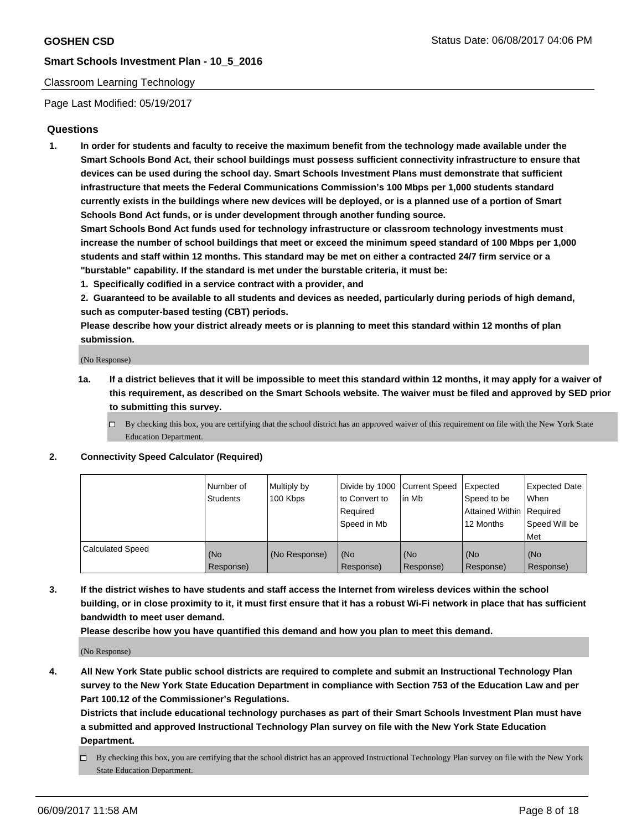## Classroom Learning Technology

Page Last Modified: 05/19/2017

## **Questions**

**1. In order for students and faculty to receive the maximum benefit from the technology made available under the Smart Schools Bond Act, their school buildings must possess sufficient connectivity infrastructure to ensure that devices can be used during the school day. Smart Schools Investment Plans must demonstrate that sufficient infrastructure that meets the Federal Communications Commission's 100 Mbps per 1,000 students standard currently exists in the buildings where new devices will be deployed, or is a planned use of a portion of Smart Schools Bond Act funds, or is under development through another funding source.**

**Smart Schools Bond Act funds used for technology infrastructure or classroom technology investments must increase the number of school buildings that meet or exceed the minimum speed standard of 100 Mbps per 1,000 students and staff within 12 months. This standard may be met on either a contracted 24/7 firm service or a "burstable" capability. If the standard is met under the burstable criteria, it must be:**

- **1. Specifically codified in a service contract with a provider, and**
- **2. Guaranteed to be available to all students and devices as needed, particularly during periods of high demand, such as computer-based testing (CBT) periods.**

**Please describe how your district already meets or is planning to meet this standard within 12 months of plan submission.**

(No Response)

- **1a. If a district believes that it will be impossible to meet this standard within 12 months, it may apply for a waiver of this requirement, as described on the Smart Schools website. The waiver must be filed and approved by SED prior to submitting this survey.**
	- $\Box$  By checking this box, you are certifying that the school district has an approved waiver of this requirement on file with the New York State Education Department.

#### **2. Connectivity Speed Calculator (Required)**

|                         | l Number of<br>Students | Multiply by<br>100 Kbps | Divide by 1000   Current Speed<br>to Convert to<br>Required<br>Speed in Mb | l in Mb          | Expected<br>Speed to be<br>Attained Within Required<br>12 Months | <b>Expected Date</b><br>When<br>Speed Will be<br>Met |
|-------------------------|-------------------------|-------------------------|----------------------------------------------------------------------------|------------------|------------------------------------------------------------------|------------------------------------------------------|
| <b>Calculated Speed</b> | (No<br>Response)        | (No Response)           | (No<br>Response)                                                           | (No<br>Response) | (No<br>Response)                                                 | (No<br>Response)                                     |

**3. If the district wishes to have students and staff access the Internet from wireless devices within the school building, or in close proximity to it, it must first ensure that it has a robust Wi-Fi network in place that has sufficient bandwidth to meet user demand.**

**Please describe how you have quantified this demand and how you plan to meet this demand.**

(No Response)

**4. All New York State public school districts are required to complete and submit an Instructional Technology Plan survey to the New York State Education Department in compliance with Section 753 of the Education Law and per Part 100.12 of the Commissioner's Regulations.**

**Districts that include educational technology purchases as part of their Smart Schools Investment Plan must have a submitted and approved Instructional Technology Plan survey on file with the New York State Education Department.**

 $\Box$  By checking this box, you are certifying that the school district has an approved Instructional Technology Plan survey on file with the New York State Education Department.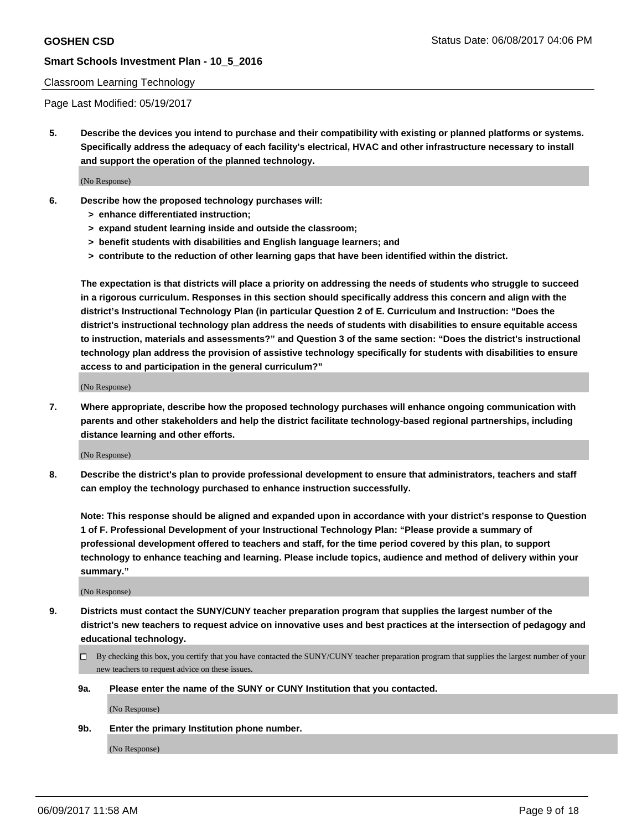#### Classroom Learning Technology

Page Last Modified: 05/19/2017

**5. Describe the devices you intend to purchase and their compatibility with existing or planned platforms or systems. Specifically address the adequacy of each facility's electrical, HVAC and other infrastructure necessary to install and support the operation of the planned technology.**

(No Response)

- **6. Describe how the proposed technology purchases will:**
	- **> enhance differentiated instruction;**
	- **> expand student learning inside and outside the classroom;**
	- **> benefit students with disabilities and English language learners; and**
	- **> contribute to the reduction of other learning gaps that have been identified within the district.**

**The expectation is that districts will place a priority on addressing the needs of students who struggle to succeed in a rigorous curriculum. Responses in this section should specifically address this concern and align with the district's Instructional Technology Plan (in particular Question 2 of E. Curriculum and Instruction: "Does the district's instructional technology plan address the needs of students with disabilities to ensure equitable access to instruction, materials and assessments?" and Question 3 of the same section: "Does the district's instructional technology plan address the provision of assistive technology specifically for students with disabilities to ensure access to and participation in the general curriculum?"**

(No Response)

**7. Where appropriate, describe how the proposed technology purchases will enhance ongoing communication with parents and other stakeholders and help the district facilitate technology-based regional partnerships, including distance learning and other efforts.**

(No Response)

**8. Describe the district's plan to provide professional development to ensure that administrators, teachers and staff can employ the technology purchased to enhance instruction successfully.**

**Note: This response should be aligned and expanded upon in accordance with your district's response to Question 1 of F. Professional Development of your Instructional Technology Plan: "Please provide a summary of professional development offered to teachers and staff, for the time period covered by this plan, to support technology to enhance teaching and learning. Please include topics, audience and method of delivery within your summary."**

(No Response)

- **9. Districts must contact the SUNY/CUNY teacher preparation program that supplies the largest number of the district's new teachers to request advice on innovative uses and best practices at the intersection of pedagogy and educational technology.**
	- By checking this box, you certify that you have contacted the SUNY/CUNY teacher preparation program that supplies the largest number of your new teachers to request advice on these issues.
	- **9a. Please enter the name of the SUNY or CUNY Institution that you contacted.**

(No Response)

**9b. Enter the primary Institution phone number.**

(No Response)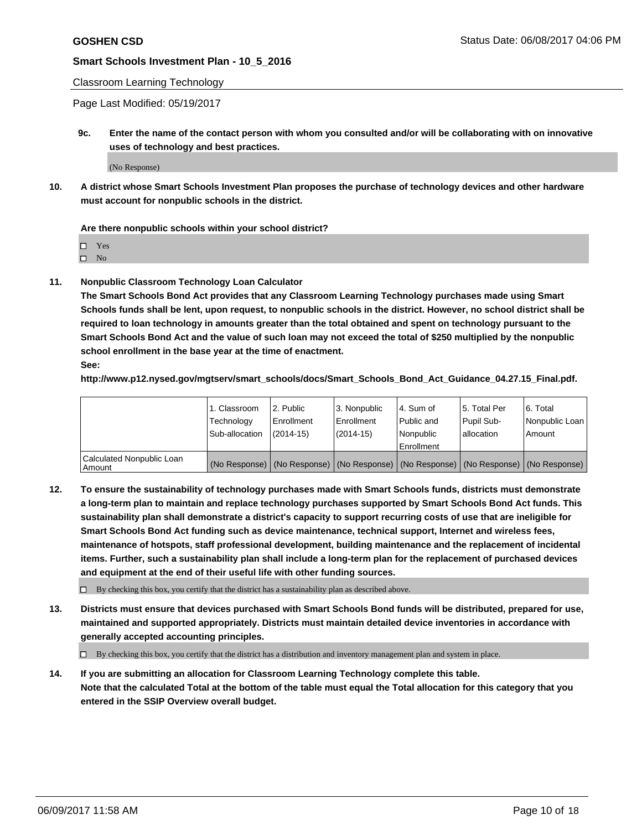#### Classroom Learning Technology

Page Last Modified: 05/19/2017

**9c. Enter the name of the contact person with whom you consulted and/or will be collaborating with on innovative uses of technology and best practices.**

(No Response)

**10. A district whose Smart Schools Investment Plan proposes the purchase of technology devices and other hardware must account for nonpublic schools in the district.**

**Are there nonpublic schools within your school district?**

Yes

 $\square$  No

**11. Nonpublic Classroom Technology Loan Calculator**

**The Smart Schools Bond Act provides that any Classroom Learning Technology purchases made using Smart Schools funds shall be lent, upon request, to nonpublic schools in the district. However, no school district shall be required to loan technology in amounts greater than the total obtained and spent on technology pursuant to the Smart Schools Bond Act and the value of such loan may not exceed the total of \$250 multiplied by the nonpublic school enrollment in the base year at the time of enactment.**

**See:**

**http://www.p12.nysed.gov/mgtserv/smart\_schools/docs/Smart\_Schools\_Bond\_Act\_Guidance\_04.27.15\_Final.pdf.**

|                                       | 1. Classroom   | 2. Public     | 3. Nonpublic | 14. Sum of  | 15. Total Per | l 6. Total                                                                                    |
|---------------------------------------|----------------|---------------|--------------|-------------|---------------|-----------------------------------------------------------------------------------------------|
|                                       | Technology     | Enrollment    | Enrollment   | Public and  | Pupil Sub-    | Nonpublic Loan                                                                                |
|                                       | Sub-allocation | $(2014 - 15)$ | (2014-15)    | l Nonpublic | allocation    | Amount                                                                                        |
|                                       |                |               |              | Enrollment  |               |                                                                                               |
| Calculated Nonpublic Loan<br>  Amount |                |               |              |             |               | (No Response)   (No Response)   (No Response)   (No Response)   (No Response)   (No Response) |

**12. To ensure the sustainability of technology purchases made with Smart Schools funds, districts must demonstrate a long-term plan to maintain and replace technology purchases supported by Smart Schools Bond Act funds. This sustainability plan shall demonstrate a district's capacity to support recurring costs of use that are ineligible for Smart Schools Bond Act funding such as device maintenance, technical support, Internet and wireless fees, maintenance of hotspots, staff professional development, building maintenance and the replacement of incidental items. Further, such a sustainability plan shall include a long-term plan for the replacement of purchased devices and equipment at the end of their useful life with other funding sources.**

 $\Box$  By checking this box, you certify that the district has a sustainability plan as described above.

**13. Districts must ensure that devices purchased with Smart Schools Bond funds will be distributed, prepared for use, maintained and supported appropriately. Districts must maintain detailed device inventories in accordance with generally accepted accounting principles.**

By checking this box, you certify that the district has a distribution and inventory management plan and system in place.

**14. If you are submitting an allocation for Classroom Learning Technology complete this table. Note that the calculated Total at the bottom of the table must equal the Total allocation for this category that you entered in the SSIP Overview overall budget.**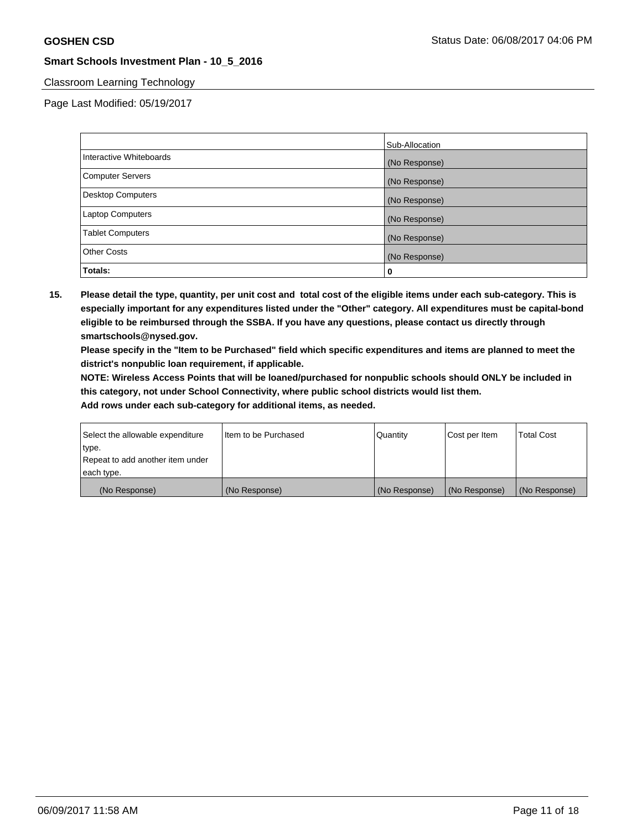## Classroom Learning Technology

Page Last Modified: 05/19/2017

|                         | Sub-Allocation |
|-------------------------|----------------|
| Interactive Whiteboards | (No Response)  |
| Computer Servers        | (No Response)  |
| Desktop Computers       | (No Response)  |
| <b>Laptop Computers</b> | (No Response)  |
| <b>Tablet Computers</b> | (No Response)  |
| <b>Other Costs</b>      | (No Response)  |
| Totals:                 | 0              |

**15. Please detail the type, quantity, per unit cost and total cost of the eligible items under each sub-category. This is especially important for any expenditures listed under the "Other" category. All expenditures must be capital-bond eligible to be reimbursed through the SSBA. If you have any questions, please contact us directly through smartschools@nysed.gov.**

**Please specify in the "Item to be Purchased" field which specific expenditures and items are planned to meet the district's nonpublic loan requirement, if applicable.**

**NOTE: Wireless Access Points that will be loaned/purchased for nonpublic schools should ONLY be included in this category, not under School Connectivity, where public school districts would list them.**

| Select the allowable expenditure | Iltem to be Purchased | Quantity      | Cost per Item | <b>Total Cost</b> |
|----------------------------------|-----------------------|---------------|---------------|-------------------|
| type.                            |                       |               |               |                   |
| Repeat to add another item under |                       |               |               |                   |
| each type.                       |                       |               |               |                   |
| (No Response)                    | (No Response)         | (No Response) | (No Response) | (No Response)     |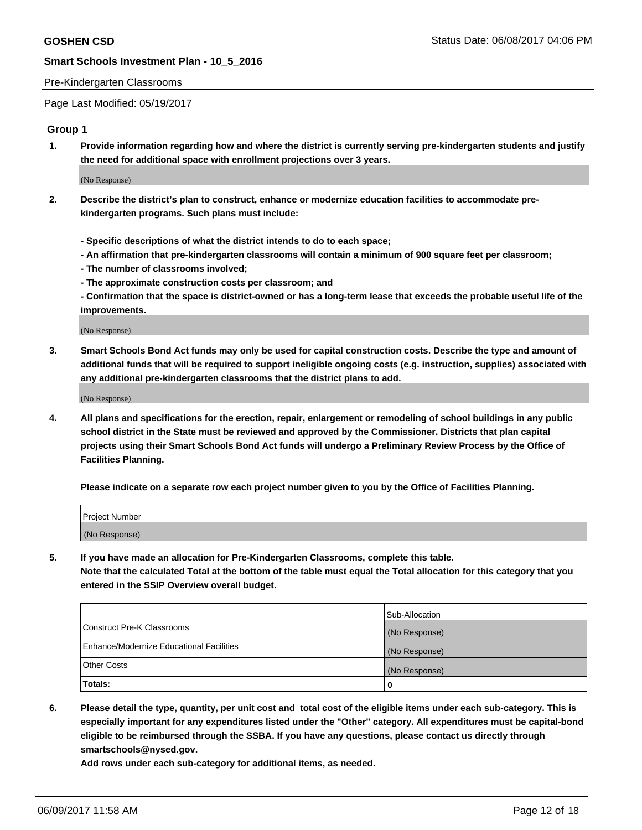#### Pre-Kindergarten Classrooms

Page Last Modified: 05/19/2017

## **Group 1**

**1. Provide information regarding how and where the district is currently serving pre-kindergarten students and justify the need for additional space with enrollment projections over 3 years.**

(No Response)

- **2. Describe the district's plan to construct, enhance or modernize education facilities to accommodate prekindergarten programs. Such plans must include:**
	- **Specific descriptions of what the district intends to do to each space;**
	- **An affirmation that pre-kindergarten classrooms will contain a minimum of 900 square feet per classroom;**
	- **The number of classrooms involved;**
	- **The approximate construction costs per classroom; and**
	- **Confirmation that the space is district-owned or has a long-term lease that exceeds the probable useful life of the improvements.**

(No Response)

**3. Smart Schools Bond Act funds may only be used for capital construction costs. Describe the type and amount of additional funds that will be required to support ineligible ongoing costs (e.g. instruction, supplies) associated with any additional pre-kindergarten classrooms that the district plans to add.**

(No Response)

**4. All plans and specifications for the erection, repair, enlargement or remodeling of school buildings in any public school district in the State must be reviewed and approved by the Commissioner. Districts that plan capital projects using their Smart Schools Bond Act funds will undergo a Preliminary Review Process by the Office of Facilities Planning.**

**Please indicate on a separate row each project number given to you by the Office of Facilities Planning.**

| Project Number |  |
|----------------|--|
| (No Response)  |  |

**5. If you have made an allocation for Pre-Kindergarten Classrooms, complete this table. Note that the calculated Total at the bottom of the table must equal the Total allocation for this category that you entered in the SSIP Overview overall budget.**

| Totals:                                  | 0              |
|------------------------------------------|----------------|
| Other Costs                              | (No Response)  |
| Enhance/Modernize Educational Facilities | (No Response)  |
| Construct Pre-K Classrooms               | (No Response)  |
|                                          | Sub-Allocation |

**6. Please detail the type, quantity, per unit cost and total cost of the eligible items under each sub-category. This is especially important for any expenditures listed under the "Other" category. All expenditures must be capital-bond eligible to be reimbursed through the SSBA. If you have any questions, please contact us directly through smartschools@nysed.gov.**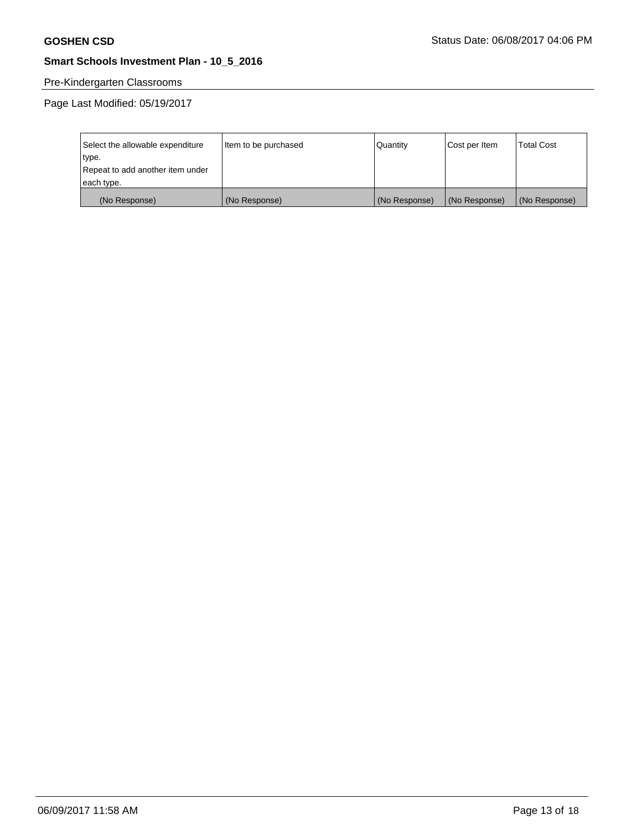# Pre-Kindergarten Classrooms

Page Last Modified: 05/19/2017

| Select the allowable expenditure | Item to be purchased | Quantity      | Cost per Item | <b>Total Cost</b> |
|----------------------------------|----------------------|---------------|---------------|-------------------|
| type.                            |                      |               |               |                   |
| Repeat to add another item under |                      |               |               |                   |
| each type.                       |                      |               |               |                   |
| (No Response)                    | (No Response)        | (No Response) | (No Response) | (No Response)     |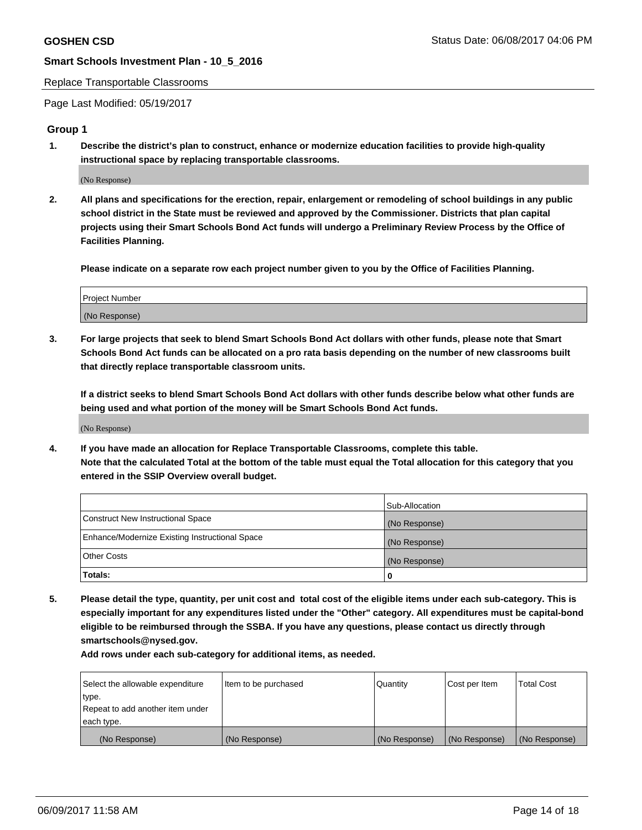#### Replace Transportable Classrooms

Page Last Modified: 05/19/2017

### **Group 1**

**1. Describe the district's plan to construct, enhance or modernize education facilities to provide high-quality instructional space by replacing transportable classrooms.**

(No Response)

**2. All plans and specifications for the erection, repair, enlargement or remodeling of school buildings in any public school district in the State must be reviewed and approved by the Commissioner. Districts that plan capital projects using their Smart Schools Bond Act funds will undergo a Preliminary Review Process by the Office of Facilities Planning.**

**Please indicate on a separate row each project number given to you by the Office of Facilities Planning.**

| Project Number |  |
|----------------|--|
| (No Response)  |  |

**3. For large projects that seek to blend Smart Schools Bond Act dollars with other funds, please note that Smart Schools Bond Act funds can be allocated on a pro rata basis depending on the number of new classrooms built that directly replace transportable classroom units.**

**If a district seeks to blend Smart Schools Bond Act dollars with other funds describe below what other funds are being used and what portion of the money will be Smart Schools Bond Act funds.**

(No Response)

**4. If you have made an allocation for Replace Transportable Classrooms, complete this table. Note that the calculated Total at the bottom of the table must equal the Total allocation for this category that you entered in the SSIP Overview overall budget.**

|                                                | Sub-Allocation |
|------------------------------------------------|----------------|
| Construct New Instructional Space              | (No Response)  |
| Enhance/Modernize Existing Instructional Space | (No Response)  |
| Other Costs                                    | (No Response)  |
| Totals:                                        | $\Omega$       |

**5. Please detail the type, quantity, per unit cost and total cost of the eligible items under each sub-category. This is especially important for any expenditures listed under the "Other" category. All expenditures must be capital-bond eligible to be reimbursed through the SSBA. If you have any questions, please contact us directly through smartschools@nysed.gov.**

| Select the allowable expenditure | Item to be purchased | Quantity      | Cost per Item | <b>Total Cost</b> |
|----------------------------------|----------------------|---------------|---------------|-------------------|
| type.                            |                      |               |               |                   |
| Repeat to add another item under |                      |               |               |                   |
| each type.                       |                      |               |               |                   |
| (No Response)                    | (No Response)        | (No Response) | (No Response) | (No Response)     |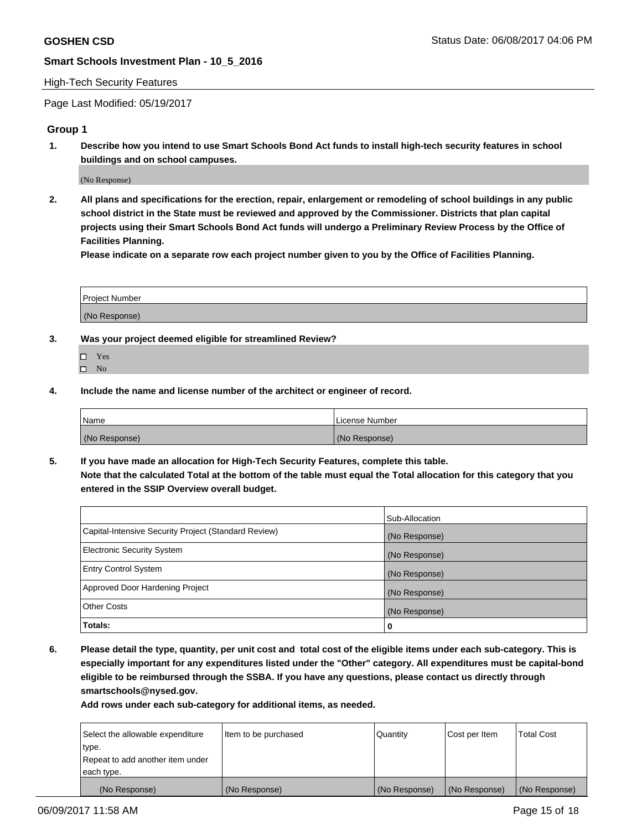#### High-Tech Security Features

Page Last Modified: 05/19/2017

### **Group 1**

**1. Describe how you intend to use Smart Schools Bond Act funds to install high-tech security features in school buildings and on school campuses.**

(No Response)

**2. All plans and specifications for the erection, repair, enlargement or remodeling of school buildings in any public school district in the State must be reviewed and approved by the Commissioner. Districts that plan capital projects using their Smart Schools Bond Act funds will undergo a Preliminary Review Process by the Office of Facilities Planning.** 

**Please indicate on a separate row each project number given to you by the Office of Facilities Planning.**

| Project Number |  |
|----------------|--|
|                |  |
| (No Response)  |  |

- **3. Was your project deemed eligible for streamlined Review?**
	- Yes  $\hfill \square$  No
- **4. Include the name and license number of the architect or engineer of record.**

| <b>Name</b>   | License Number |
|---------------|----------------|
| (No Response) | (No Response)  |

**5. If you have made an allocation for High-Tech Security Features, complete this table. Note that the calculated Total at the bottom of the table must equal the Total allocation for this category that you entered in the SSIP Overview overall budget.**

|                                                      | Sub-Allocation |
|------------------------------------------------------|----------------|
| Capital-Intensive Security Project (Standard Review) | (No Response)  |
| Electronic Security System                           | (No Response)  |
| <b>Entry Control System</b>                          | (No Response)  |
| Approved Door Hardening Project                      | (No Response)  |
| <b>Other Costs</b>                                   | (No Response)  |
| Totals:                                              | 0              |

**6. Please detail the type, quantity, per unit cost and total cost of the eligible items under each sub-category. This is especially important for any expenditures listed under the "Other" category. All expenditures must be capital-bond eligible to be reimbursed through the SSBA. If you have any questions, please contact us directly through smartschools@nysed.gov.**

| (No Response)                    | (No Response)        | (No Response) | (No Response) | (No Response)     |
|----------------------------------|----------------------|---------------|---------------|-------------------|
| each type.                       |                      |               |               |                   |
| Repeat to add another item under |                      |               |               |                   |
| type.                            |                      |               |               |                   |
| Select the allowable expenditure | Item to be purchased | Quantity      | Cost per Item | <b>Total Cost</b> |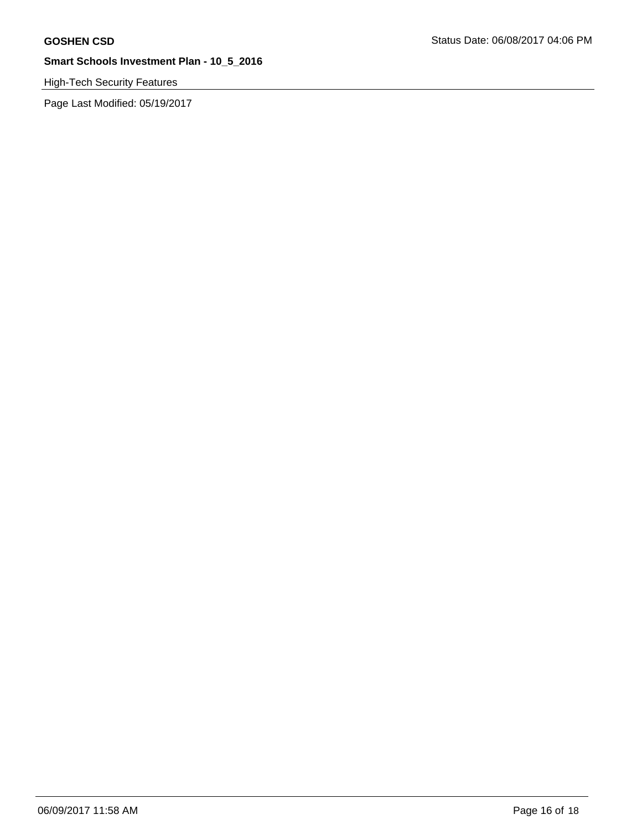# High-Tech Security Features

Page Last Modified: 05/19/2017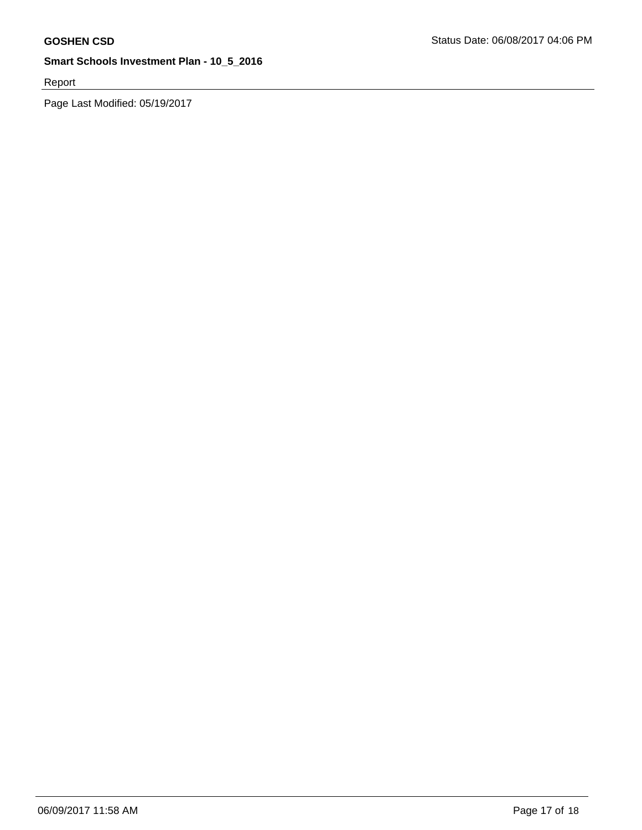Report

Page Last Modified: 05/19/2017